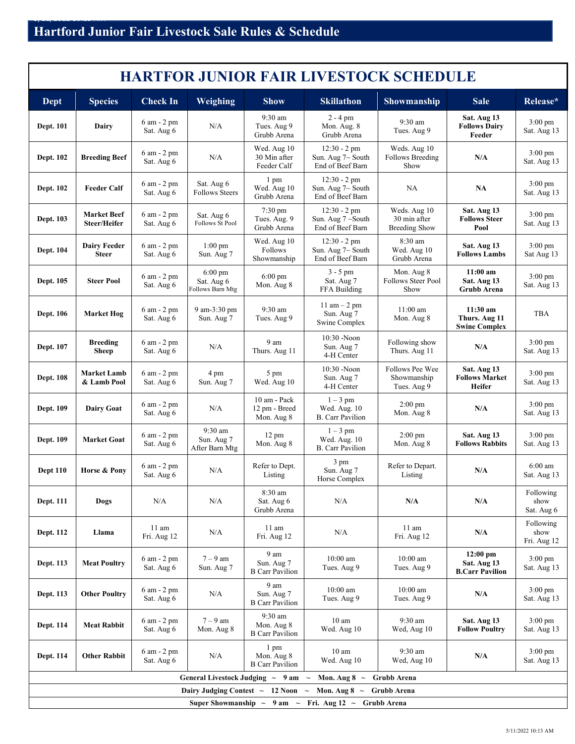5<br>5/<del>11/2022 10:13 AM</del>

| <b>HARTFOR JUNIOR FAIR LIVESTOCK SCHEDULE</b>                                           |                                     |                              |                                                     |                                                        |                                                                     |                                                      |                                                       |                                  |  |
|-----------------------------------------------------------------------------------------|-------------------------------------|------------------------------|-----------------------------------------------------|--------------------------------------------------------|---------------------------------------------------------------------|------------------------------------------------------|-------------------------------------------------------|----------------------------------|--|
| Dept                                                                                    | <b>Species</b>                      | <b>Check In</b>              | Weighing                                            | <b>Show</b>                                            | <b>Skillathon</b>                                                   | <b>Showmanship</b>                                   | <b>Sale</b>                                           | Release*                         |  |
| <b>Dept. 101</b>                                                                        | Dairy                               | 6 am - 2 pm<br>Sat. Aug 6    | N/A                                                 | $9:30$ am<br>Tues. Aug 9<br>Grubb Arena                | $2 - 4$ pm<br>Mon. Aug. 8<br>Grubb Arena                            | $9:30$ am<br>Tues. Aug 9                             | Sat. Aug 13<br><b>Follows Dairy</b><br>Feeder         | $3:00 \text{ pm}$<br>Sat. Aug 13 |  |
| <b>Dept. 102</b>                                                                        | <b>Breeding Beef</b>                | 6 am - 2 pm<br>Sat. Aug 6    | N/A                                                 | Wed. Aug 10<br>30 Min after<br>Feeder Calf             | $12:30 - 2$ pm<br>Sun. Aug $7\sim$ South<br>End of Beef Barn        | Weds. Aug 10<br><b>Follows Breeding</b><br>Show      | N/A                                                   | $3:00 \text{ pm}$<br>Sat. Aug 13 |  |
| <b>Dept. 102</b>                                                                        | <b>Feeder Calf</b>                  | 6 am - 2 pm<br>Sat. Aug 6    | Sat. Aug 6<br><b>Follows Steers</b>                 | 1 pm<br>Wed. Aug 10<br>Grubb Arena                     | $12:30 - 2$ pm<br>Sun. Aug 7~ South<br>End of Beef Barn             | NA                                                   | NA                                                    | $3:00 \text{ pm}$<br>Sat. Aug 13 |  |
| Dept. 103                                                                               | <b>Market Beef</b><br>Steer/Heifer  | 6 am - 2 pm<br>Sat. Aug 6    | Sat. Aug 6<br>Follows St Pool                       | $7:30 \text{ pm}$<br>Tues. Aug. 9<br>Grubb Arena       | $12:30 - 2$ pm<br>Sun. Aug 7~South<br>End of Beef Barn              | Weds. Aug 10<br>30 min after<br><b>Breeding Show</b> | Sat. Aug 13<br><b>Follows Steer</b><br>Pool           | $3:00 \text{ pm}$<br>Sat. Aug 13 |  |
| <b>Dept. 104</b>                                                                        | <b>Dairy Feeder</b><br><b>Steer</b> | 6 am - 2 pm<br>Sat. Aug 6    | $1:00 \text{ pm}$<br>Sun. Aug 7                     | Wed. Aug 10<br>Follows<br>Showmanship                  | $12:30 - 2$ pm<br>Sun. Aug 7~ South<br>End of Beef Barn             | 8:30 am<br>Wed. Aug 10<br>Grubb Arena                | Sat. Aug 13<br><b>Follows Lambs</b>                   | $3:00 \text{ pm}$<br>Sat Aug 13  |  |
| <b>Dept. 105</b>                                                                        | <b>Steer Pool</b>                   | $6$ am $-2$ pm<br>Sat. Aug 6 | $6:00 \text{ pm}$<br>Sat. Aug 6<br>Follows Barn Mtg | $6:00 \text{ pm}$<br>Mon. Aug 8                        | $3 - 5$ pm<br>Sat. Aug 7<br>FFA Building                            | Mon. Aug 8<br>Follows Steer Pool<br>Show             | $11:00$ am<br>Sat. Aug 13<br><b>Grubb Arena</b>       | 3:00 pm<br>Sat. Aug 13           |  |
| <b>Dept. 106</b>                                                                        | <b>Market Hog</b>                   | $6$ am $-2$ pm<br>Sat. Aug 6 | 9 am-3:30 pm<br>Sun. Aug 7                          | $9:30$ am<br>Tues. Aug 9                               | 11 am $-2$ pm<br>Sun. Aug 7<br><b>Swine Complex</b>                 | $11:00$ am<br>Mon. Aug 8                             | 11:30 am<br>Thurs. Aug 11<br><b>Swine Complex</b>     | TBA                              |  |
| <b>Dept. 107</b>                                                                        | <b>Breeding</b><br><b>Sheep</b>     | $6$ am $-2$ pm<br>Sat. Aug 6 | N/A                                                 | 9 am<br>Thurs. Aug 11                                  | 10:30 -Noon<br>Sun. Aug 7<br>4-H Center                             | Following show<br>Thurs. Aug 11                      | N/A                                                   | $3:00 \text{ pm}$<br>Sat. Aug 13 |  |
| <b>Dept. 108</b>                                                                        | <b>Market Lamb</b><br>& Lamb Pool   | $6$ am $-2$ pm<br>Sat. Aug 6 | 4 pm<br>Sun. Aug 7                                  | 5 pm<br>Wed. Aug 10                                    | 10:30 -Noon<br>Sun. Aug 7<br>4-H Center                             | Follows Pee Wee<br>Showmanship<br>Tues. Aug 9        | Sat. Aug 13<br><b>Follows Market</b><br><b>Heifer</b> | $3:00 \text{ pm}$<br>Sat. Aug 13 |  |
| <b>Dept. 109</b>                                                                        | <b>Dairy Goat</b>                   | 6 am - 2 pm<br>Sat. Aug 6    | N/A                                                 | 10 am - Pack<br>12 pm - Breed<br>Mon. Aug 8            | $1-3$ pm<br>Wed. Aug. 10<br><b>B.</b> Carr Pavilion                 | $2:00 \text{ pm}$<br>Mon. Aug 8                      | N/A                                                   | $3:00 \text{ pm}$<br>Sat. Aug 13 |  |
| Dept. 109                                                                               | <b>Market Goat</b>                  | $6$ am $-2$ pm<br>Sat. Aug 6 | 9:30 am<br>Sun. Aug 7<br>After Barn Mtg             | $12 \text{ pm}$<br>Mon. Aug 8                          | $1-3$ pm<br>Wed. Aug. 10<br><b>B.</b> Carr Pavilion                 | $2:00 \text{ pm}$<br>Mon. Aug 8                      | Sat. Aug 13<br><b>Follows Rabbits</b>                 | $3:00 \text{ pm}$<br>Sat. Aug 13 |  |
| <b>Dept 110</b>                                                                         | Horse & Pony                        | 6 am - 2 pm<br>Sat. Aug 6    | N/A                                                 | Refer to Dept.<br>Listing                              | 3 pm<br>Sun. Aug 7<br>Horse Complex                                 | Refer to Depart.<br>Listing                          | N/A                                                   | $6:00$ am<br>Sat. Aug 13         |  |
| <b>Dept. 111</b>                                                                        | Dogs                                | N/A                          | N/A                                                 | 8:30 am<br>Sat. Aug 6<br>Grubb Arena                   | N/A                                                                 | N/A                                                  | N/A                                                   | Following<br>show<br>Sat. Aug 6  |  |
| <b>Dept. 112</b>                                                                        | Llama                               | 11 am<br>Fri. Aug 12         | N/A                                                 | 11 am<br>Fri. Aug 12                                   | N/A                                                                 | 11 am<br>Fri. Aug 12                                 | N/A                                                   | Following<br>show<br>Fri. Aug 12 |  |
| Dept. 113                                                                               | <b>Meat Poultry</b>                 | 6 am - 2 pm<br>Sat. Aug 6    | $7-9$ am<br>Sun. Aug 7                              | 9 am<br>Sun. Aug 7<br><b>B</b> Carr Pavilion           | $10:00$ am<br>Tues. Aug 9                                           | $10:00$ am<br>Tues. Aug 9                            | $12:00$ pm<br>Sat. Aug 13<br><b>B.Carr Pavilion</b>   | $3:00$ pm<br>Sat. Aug 13         |  |
| Dept. 113                                                                               | <b>Other Poultry</b>                | 6 am - 2 pm<br>Sat. Aug 6    | N/A                                                 | 9 am<br>Sun. Aug 7<br><b>B</b> Carr Pavilion           | $10:00$ am<br>Tues. Aug 9                                           | $10:00$ am<br>Tues. Aug 9                            | N/A                                                   | $3:00 \text{ pm}$<br>Sat. Aug 13 |  |
| Dept. 114                                                                               | <b>Meat Rabbit</b>                  | 6 am - 2 pm<br>Sat. Aug 6    | $7-9$ am<br>Mon. Aug 8                              | 9:30 am<br>Mon. Aug 8<br><b>B</b> Carr Pavilion        | 10 <sub>am</sub><br>Wed. Aug 10                                     | 9:30 am<br>Wed, Aug 10                               | Sat. Aug 13<br><b>Follow Poultry</b>                  | $3:00 \text{ pm}$<br>Sat. Aug 13 |  |
| Dept. 114                                                                               | <b>Other Rabbit</b>                 | 6 am - 2 pm<br>Sat. Aug 6    | N/A                                                 | $1 \text{ pm}$<br>Mon. Aug 8<br><b>B</b> Carr Pavilion | 10 <sub>am</sub><br>Wed. Aug 10                                     | 9:30 am<br>Wed, Aug 10                               | N/A                                                   | $3:00 \text{ pm}$<br>Sat. Aug 13 |  |
| General Livestock Judging $\sim 9$ am<br>$\sim$ Mon. Aug 8 $\sim$<br><b>Grubb Arena</b> |                                     |                              |                                                     |                                                        |                                                                     |                                                      |                                                       |                                  |  |
| Dairy Judging Contest $\sim$ 12 Noon $\sim$<br>Mon. Aug 8 $\sim$<br>Grubb Arena         |                                     |                              |                                                     |                                                        |                                                                     |                                                      |                                                       |                                  |  |
|                                                                                         |                                     |                              |                                                     |                                                        | Super Showmanship $\sim 9$ am $\sim$ Fri. Aug 12 $\sim$ Grubb Arena |                                                      |                                                       |                                  |  |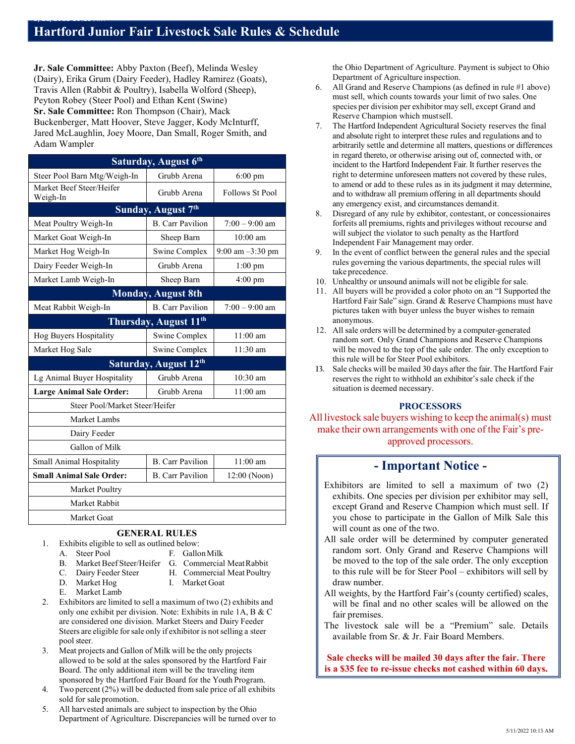**Jr. Sale Committee:** Abby Paxton (Beef), Melinda Wesley (Dairy), Erika Grum (Dairy Feeder), Hadley Ramirez (Goats), Travis Allen (Rabbit & Poultry), Isabella Wolford (Sheep), Peyton Robey (Steer Pool) and Ethan Kent (Swine) **Sr. Sale Committee:** Ron Thompson (Chair), Mack Buckenberger, Matt Hoover, Steve Jagger, Kody McInturff, Jared McLaughlin, Joey Moore, Dan Small, Roger Smith, and Adam Wampler

5<br>5/<del>11/2022 10:13 AM</del>

| Saturday, August 6th                 |                         |                        |  |  |  |  |  |
|--------------------------------------|-------------------------|------------------------|--|--|--|--|--|
| Steer Pool Barn Mtg/Weigh-In         | Grubb Arena             | $6:00$ pm              |  |  |  |  |  |
| Market Beef Steer/Heifer<br>Weigh-In | Grubb Arena             | <b>Follows St Pool</b> |  |  |  |  |  |
| Sunday, August 7th                   |                         |                        |  |  |  |  |  |
| Meat Poultry Weigh-In                | <b>B.</b> Carr Pavilion | $7:00 - 9:00$ am       |  |  |  |  |  |
| Market Goat Weigh-In                 | Sheep Barn              | $10:00$ am             |  |  |  |  |  |
| Market Hog Weigh-In                  | Swine Complex           | $9:00$ am $-3:30$ pm   |  |  |  |  |  |
| Dairy Feeder Weigh-In                | Grubb Arena             | $1:00$ pm              |  |  |  |  |  |
| Market Lamb Weigh-In                 | Sheep Barn              | $4:00$ pm              |  |  |  |  |  |
| <b>Monday, August 8th</b>            |                         |                        |  |  |  |  |  |
| Meat Rabbit Weigh-In                 | <b>B.</b> Carr Pavilion | $7:00 - 9:00$ am       |  |  |  |  |  |
| Thursday, August 11 <sup>th</sup>    |                         |                        |  |  |  |  |  |
| Hog Buyers Hospitality               | Swine Complex           | $11:00$ am             |  |  |  |  |  |
| Market Hog Sale                      | Swine Complex           | 11:30 am               |  |  |  |  |  |
| Saturday, August 12th                |                         |                        |  |  |  |  |  |
| Lg Animal Buyer Hospitality          | Grubb Arena             | 10:30 am               |  |  |  |  |  |
| <b>Large Animal Sale Order:</b>      | Grubb Arena             | $11:00$ am             |  |  |  |  |  |
| Steer Pool/Market Steer/Heifer       |                         |                        |  |  |  |  |  |
| Market Lambs                         |                         |                        |  |  |  |  |  |
| Dairy Feeder                         |                         |                        |  |  |  |  |  |
| Gallon of Milk                       |                         |                        |  |  |  |  |  |
| Small Animal Hospitality             | <b>B.</b> Carr Pavilion | $11:00$ am             |  |  |  |  |  |
| <b>Small Animal Sale Order:</b>      | <b>B.</b> Carr Pavilion | $12:00$ (Noon)         |  |  |  |  |  |
| Market Poultry                       |                         |                        |  |  |  |  |  |
| Market Rabbit                        |                         |                        |  |  |  |  |  |
| Market Goat                          |                         |                        |  |  |  |  |  |

# **GENERAL RULES**

- 1. Exhibits eligible to sell as outlined below:
	- A. Steer Pool F. Gallon Milk
	- B. Market Beef Steer/Heifer G. Commercial Meat Rabbit<br>C. Dairy Feeder Steer H. Commercial Meat Poultry
	- C. Dairy Feeder Steer H. Commercial Meat Poultry
	-
	- D. Market Hog I. Market Goat
	- E. Market Lamb
- 2. Exhibitors are limited to sell a maximum of two (2) exhibits and
- only one exhibit per division. Note: Exhibits in rule 1A, B & C are considered one division. Market Steers and Dairy Feeder Steers are eligible for sale only if exhibitor is not selling a steer pool steer.
- 3. Meat projects and Gallon of Milk will be the only projects allowed to be sold at the sales sponsored by the Hartford Fair Board. The only additional item will be the traveling item sponsored by the Hartford Fair Board for the Youth Program.
- 4. Two percent (2%) will be deducted from sale price of all exhibits sold for sale promotion.
- 5. All harvested animals are subject to inspection by the Ohio Department of Agriculture. Discrepancies will be turned over to

the Ohio Department of Agriculture. Payment is subject to Ohio Department of Agriculture inspection.

- 6. All Grand and Reserve Champions (as defined in rule #1 above) must sell, which counts towards your limit of two sales. One species per division per exhibitor may sell, except Grand and Reserve Champion which mustsell.
- 7. The Hartford Independent Agricultural Society reserves the final and absolute right to interpret these rules and regulations and to arbitrarily settle and determine all matters, questions or differences in regard thereto, or otherwise arising out of, connected with, or incident to the Hartford Independent Fair. It further reserves the right to determine unforeseen matters not covered by these rules, to amend or add to these rules as in its judgment it may determine, and to withdraw all premium offering in all departments should any emergency exist, and circumstances demandit.
- 8. Disregard of any rule by exhibitor, contestant, or concessionaires forfeits all premiums, rights and privileges without recourse and will subject the violator to such penalty as the Hartford Independent Fair Management may order.
- In the event of conflict between the general rules and the special rules governing the various departments, the special rules will take precedence.
- 10. Unhealthy or unsound animals will not be eligible for sale.
- 11. All buyers will be provided a color photo on an "I Supported the Hartford Fair Sale" sign. Grand & Reserve Champions must have pictures taken with buyer unless the buyer wishes to remain anonymous.
- 12. All sale orders will be determined by a computer-generated random sort. Only Grand Champions and Reserve Champions will be moved to the top of the sale order. The only exception to this rule will be for Steer Pool exhibitors.
- **13.** Sale checks will be mailed 30 days after the fair. The Hartford Fair reserves the right to withhold an exhibitor's sale check if the situation is deemed necessary.

# **PROCESSORS**

All livestock sale buyers wishing to keep the animal(s) must make their own arrangements with one of the Fair's preapproved processors.

# **- Important Notice -**

- Exhibitors are limited to sell a maximum of two (2) exhibits. One species per division per exhibitor may sell, except Grand and Reserve Champion which must sell. If you chose to participate in the Gallon of Milk Sale this will count as one of the two.
- All sale order will be determined by computer generated random sort. Only Grand and Reserve Champions will be moved to the top of the sale order. The only exception to this rule will be for Steer Pool – exhibitors will sell by draw number.
- All weights, by the Hartford Fair's (county certified) scales, will be final and no other scales will be allowed on the fair premises.
- The livestock sale will be a "Premium" sale. Details available from Sr. & Jr. Fair Board Members.

**Sale checks will be mailed 30 days after the fair. There is a \$35 fee to re-issue checks not cashed within 60 days.**